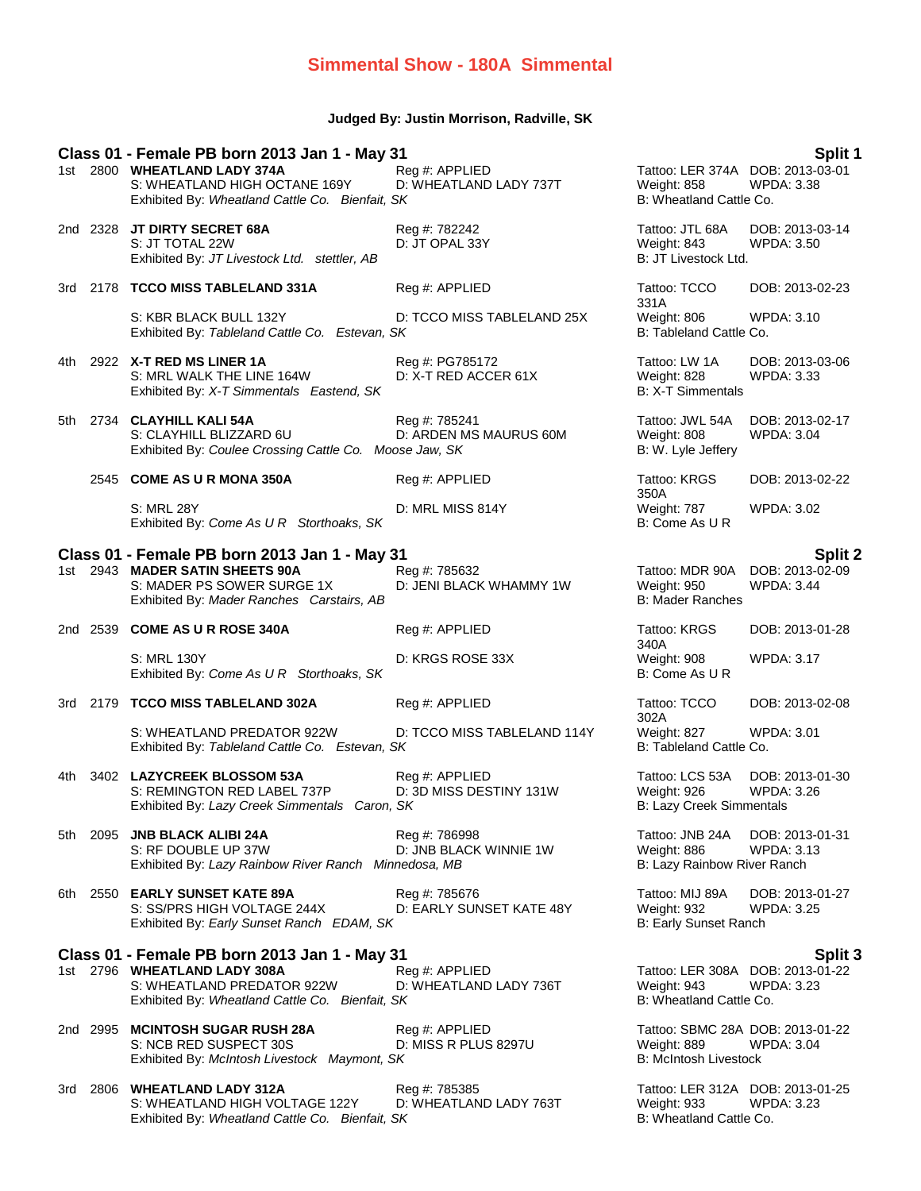### **Simmental Show - 180A Simmental**

### **Judged By: Justin Morrison, Radville, SK**

| Class 01 - Female PB born 2013 Jan 1 - May 31 |  |                                                                                                                                                                |                                           |                                                                            | Split 1                                               |
|-----------------------------------------------|--|----------------------------------------------------------------------------------------------------------------------------------------------------------------|-------------------------------------------|----------------------------------------------------------------------------|-------------------------------------------------------|
|                                               |  | 1st 2800 WHEATLAND LADY 374A<br>S: WHEATLAND HIGH OCTANE 169Y<br>Exhibited By: Wheatland Cattle Co. Bienfait, SK                                               | Reg #: APPLIED<br>D: WHEATLAND LADY 737T  | Tattoo: LER 374A DOB: 2013-03-01<br>Weight: 858<br>B: Wheatland Cattle Co. | <b>WPDA: 3.38</b>                                     |
|                                               |  | 2nd 2328 JT DIRTY SECRET 68A<br>S: JT TOTAL 22W<br>Exhibited By: JT Livestock Ltd. stettler, AB                                                                | Reg #: 782242<br>D: JT OPAL 33Y           | Tattoo: JTL 68A<br>Weight: 843<br>B: JT Livestock Ltd.                     | DOB: 2013-03-14<br><b>WPDA: 3.50</b>                  |
|                                               |  | 3rd 2178 TCCO MISS TABLELAND 331A                                                                                                                              | Reg #: APPLIED                            | Tattoo: TCCO                                                               | DOB: 2013-02-23                                       |
|                                               |  | S: KBR BLACK BULL 132Y<br>Exhibited By: Tableland Cattle Co. Estevan, SK                                                                                       | D: TCCO MISS TABLELAND 25X                | 331A<br>Weight: 806<br>B: Tableland Cattle Co.                             | <b>WPDA: 3.10</b>                                     |
| 4th                                           |  | 2922 X-T RED MS LINER 1A<br>S: MRL WALK THE LINE 164W<br>Exhibited By: X-T Simmentals Eastend, SK                                                              | Reg #: PG785172<br>D: X-T RED ACCER 61X   | Tattoo: LW 1A<br>Weight: 828<br><b>B: X-T Simmentals</b>                   | DOB: 2013-03-06<br><b>WPDA: 3.33</b>                  |
| 5th                                           |  | 2734 CLAYHILL KALI 54A<br>S: CLAYHILL BLIZZARD 6U<br>Exhibited By: Coulee Crossing Cattle Co. Moose Jaw, SK                                                    | Reg #: 785241<br>D: ARDEN MS MAURUS 60M   | Tattoo: JWL 54A<br>Weight: 808<br>B: W. Lyle Jeffery                       | DOB: 2013-02-17<br><b>WPDA: 3.04</b>                  |
|                                               |  | 2545 COME AS U R MONA 350A                                                                                                                                     | Reg #: APPLIED                            | Tattoo: KRGS<br>350A                                                       | DOB: 2013-02-22                                       |
|                                               |  | <b>S: MRL 28Y</b><br>Exhibited By: Come As U R Storthoaks, SK                                                                                                  | D: MRL MISS 814Y                          | Weight: 787<br>B: Come As U R                                              | <b>WPDA: 3.02</b>                                     |
|                                               |  | Class 01 - Female PB born 2013 Jan 1 - May 31                                                                                                                  |                                           |                                                                            | <b>Split 2</b>                                        |
|                                               |  | 1st 2943 MADER SATIN SHEETS 90A<br>S: MADER PS SOWER SURGE 1X<br>Exhibited By: Mader Ranches Carstairs, AB                                                     | Reg #: 785632<br>D: JENI BLACK WHAMMY 1W  | Tattoo: MDR 90A<br>Weight: 950<br><b>B: Mader Ranches</b>                  | DOB: 2013-02-09<br><b>WPDA: 3.44</b>                  |
|                                               |  | 2nd 2539 COME AS U R ROSE 340A                                                                                                                                 | Reg #: APPLIED                            | Tattoo: KRGS<br>340A                                                       | DOB: 2013-01-28                                       |
|                                               |  | S: MRL 130Y<br>Exhibited By: Come As U R Storthoaks, SK                                                                                                        | D: KRGS ROSE 33X                          | Weight: 908<br>B: Come As U R                                              | <b>WPDA: 3.17</b>                                     |
|                                               |  | 3rd 2179 TCCO MISS TABLELAND 302A                                                                                                                              | Reg #: APPLIED                            | Tattoo: TCCO<br>302A                                                       | DOB: 2013-02-08                                       |
|                                               |  | S: WHEATLAND PREDATOR 922W<br>Exhibited By: Tableland Cattle Co. Estevan, SK                                                                                   | D: TCCO MISS TABLELAND 114Y               | Weight: 827<br>B: Tableland Cattle Co.                                     | WPDA: 3.01                                            |
| 4th                                           |  | 3402 LAZYCREEK BLOSSOM 53A                                                                                                                                     | Reg #: APPLIED                            | Tattoo: LCS 53A                                                            | DOB: 2013-01-30                                       |
|                                               |  | S: REMINGTON RED LABEL 737P<br>Exhibited By: Lazy Creek Simmentals Caron, SK                                                                                   | D: 3D MISS DESTINY 131W                   | Weight: 926<br>B: Lazy Creek Simmentals                                    | <b>WPDA: 3.26</b>                                     |
|                                               |  |                                                                                                                                                                |                                           |                                                                            |                                                       |
| 5th                                           |  | 2095 JNB BLACK ALIBI 24A<br>S: RF DOUBLE UP 37W                                                                                                                | Reg #: 786998<br>D: JNB BLACK WINNIE 1W   | Tattoo: JNB 24A<br>Weight: 886                                             | DOB: 2013-01-31<br>WPDA: 3.13                         |
|                                               |  | Exhibited By: Lazy Rainbow River Ranch Minnedosa, MB                                                                                                           |                                           | B: Lazy Rainbow River Ranch                                                |                                                       |
| 6th                                           |  | 2550 EARLY SUNSET KATE 89A<br>S: SS/PRS HIGH VOLTAGE 244X<br>Exhibited By: Early Sunset Ranch EDAM, SK                                                         | Reg #: 785676<br>D: EARLY SUNSET KATE 48Y | Tattoo: MIJ 89A<br>Weight: 932<br><b>B: Early Sunset Ranch</b>             | DOB: 2013-01-27<br>WPDA: 3.25                         |
|                                               |  |                                                                                                                                                                |                                           |                                                                            |                                                       |
|                                               |  | Class 01 - Female PB born 2013 Jan 1 - May 31<br>1st 2796 WHEATLAND LADY 308A<br>S: WHEATLAND PREDATOR 922W<br>Exhibited By: Wheatland Cattle Co. Bienfait, SK | Reg #: APPLIED<br>D: WHEATLAND LADY 736T  | Tattoo: LER 308A<br>Weight: 943<br>B: Wheatland Cattle Co.                 | Split 3<br>DOB: 2013-01-22<br><b>WPDA: 3.23</b>       |
|                                               |  | 2nd 2995 MCINTOSH SUGAR RUSH 28A<br>S: NCB RED SUSPECT 30S<br>Exhibited By: McIntosh Livestock Maymont, SK                                                     | Reg #: APPLIED<br>D: MISS R PLUS 8297U    | Weight: 889<br><b>B: McIntosh Livestock</b>                                | Tattoo: SBMC 28A DOB: 2013-01-22<br><b>WPDA: 3.04</b> |
| 3rd                                           |  | 2806 WHEATLAND LADY 312A<br>S: WHEATLAND HIGH VOLTAGE 122Y                                                                                                     | Reg #: 785385<br>D: WHEATLAND LADY 763T   | Tattoo: LER 312A DOB: 2013-01-25<br>Weight: 933                            | <b>WPDA: 3.23</b>                                     |

Exhibited By: *Wheatland Cattle Co. Bienfait, SK* B: Wheatland Cattle Co. Bienfait, SK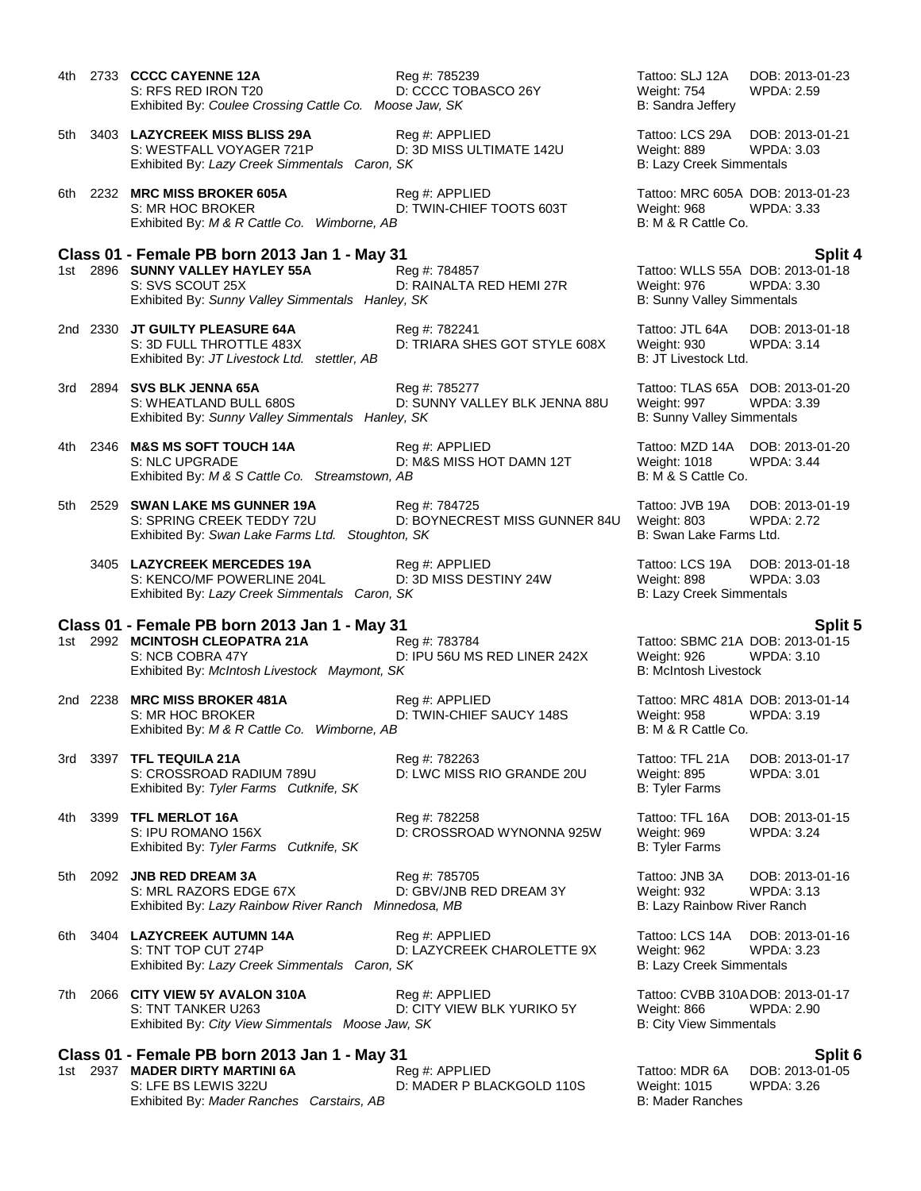4th 2733 **CCCC CAYENNE 12A** Reg #: 785239 Tattoo: SLJ 12A DOB: 2013-01-23 S: RFS RED IRON T20 D: CCCC TOBASCO 26Y Weight: 754 WPDA: 2.59 Exhibited By: *Coulee Crossing Cattle Co. Moose Jaw, SK* B: Sandra Jeffery 5th 3403 **LAZYCREEK MISS BLISS 29A** Reg #: APPLIED Tattoo: LCS 29A DOB: 2013-01-21 S: WESTFALL VOYAGER 721P D: 3D MISS ULTIMATE 142U Weight: 889 WPDA: 3.03 Exhibited By: Lazy Creek Simmentals Caron, SK B: Lazy Creek Simmentals 6th 2232 **MRC MISS BROKER 605A** Reg #: APPLIED Tattoo: MRC 605A DOB: 2013-01-23 S: MR HOC BROKER **D: TWIN-CHIEF TOOTS 603T** Weight: 968 WPDA: 3.33 Exhibited By: *M & R Cattle Co. Wimborne, AB* B: M & R Cattle Co. **Class 01 - Female PB born 2013 Jan 1 - May 31 Split 4** 1st 2896 **SUNNY VALLEY HAYLEY 55A** Reg #: 784857 Tattoo: WLLS 55A DOB: 2013-01-18 S: SVS SCOUT 25X D: RAINALTA RED HEMI 27R Weight: 976 WPDA: 3.30 Exhibited By: *Sunny Valley Simmentals Hanley, SK* B: Sunny Valley Simmentals 2nd 2330 **JT GUILTY PLEASURE 64A** Reg #: 782241 Tattoo: JTL 64A DOB: 2013-01-18<br>S: 3D FULL THROTTLE 483X D: TRIARA SHES GOT STYLE 608X Weight: 930 WPDA: 3.14 S: 3D FULL THROTTLE 483X D: TRIARA SHES GOT STYLE 608X Weight: 930<br>Exhibited By: JT Livestock Ltd. stettler. AB Thai: 3.14 B: 3.14 D: 3.14 Livestock Ltd. Exhibited By: JT Livestock Ltd. stettler, AB 3rd 2894 **SVS BLK JENNA 65A** Reg #: 785277 Tattoo: TLAS 65A DOB: 2013-01-20 S: WHEATLAND BULL 680S **DI: SUNNY VALLEY BLK JENNA 88U** Weight: 997 WPDA: 3.39 Exhibited By: *Sunny Valley Simmentals Hanley, SK* B: Sunny Valley Simmentals 4th 2346 **M&S MS SOFT TOUCH 14A** Reg #: APPLIED Tattoo: MZD 14A DOB: 2013-01-20<br>S: NLC UPGRADE D: M&S MISS HOT DAMN 12T Weight: 1018 WPDA: 3.44 D: M&S MISS HOT DAMN 12T Exhibited By: *M & S Cattle Co. Streamstown, AB* B: M & S Cattle Co. 5th 2529 **SWAN LAKE MS GUNNER 19A** Reg #: 784725 Tattoo: JVB 19A DOB: 2013-01-19 S: SPRING CREEK TEDDY 72U D: BOYNECREST MISS GUNNER 84U Weight: 803 WPDA: 2.72 Exhibited By: *Swan Lake Farms Ltd.* Stoughton, SK B: Swan Lake Farms Ltd. B: Swan Lake Farms Ltd. 3405 **LAZYCREEK MERCEDES 19A** Reg #: APPLIED Tattoo: LCS 19A DOB: 2013-01-18 S: KENCO/MF POWERLINE 204L D: 3D MISS DESTINY 24W Weight: 898 WPDA: 3.03 Exhibited By: Lazy Creek Simmentals Caron, SK B: Lazy Creek Simmentals **Class 01 - Female PB born 2013 Jan 1 - May 31 Split 5** 1st 2992 **MCINTOSH CLEOPATRA 21A** Reg #: 783784 Tattoo: SBMC 21A DOB: 2013-01-15<br>S: NCB COBRA 47Y D: IPU 56U MS RED LINER 242X Weight: 926 WPDA: 3.10 S: NCB COBRA 47Y D: IPU 56U MS RED LINER 242X Exhibited By: *McIntosh Livestock Maymont, SK* B: McIntosh Livestock B: McIntosh Livestock 2nd 2238 **MRC MISS BROKER 481A** Reg #: APPLIED Tattoo: MRC 481A DOB: 2013-01-14 S: MR HOC BROKER **D: TWIN-CHIEF SAUCY 148S** Weight: 958 WPDA: 3.19 Exhibited By: *M & R Cattle Co. Wimborne, AB* B: M & R Cattle Co. 3rd 3397 **TFL TEQUILA 21A** Reg #: 782263 Tattoo: TFL 21A DOB: 2013-01-17 S: CROSSROAD RADIUM 789U D: LWC MISS RIO GRANDE 20U Weight: 895 WPDA: 3.01 Exhibited By: Tyler Farms Cutknife, SK B: Tyler Farms Cutknife, SK 4th 3399 **TFL MERLOT 16A** Reg #: 782258 Tattoo: TFL 16A DOB: 2013-01-15 S: IPU ROMANO 156X **D: CROSSROAD WYNONNA 925W** Weight: 969 WPDA: 3.24 Exhibited By: Tyler Farms Cutknife, SK B: Tyler Farms Cutknife, SK 5th 2092 **JNB RED DREAM 3A** Reg #: 785705 Tattoo: JNB 3A DOB: 2013-01-16 S: MRL RAZORS EDGE 67X D: GBV/JNB RED DREAM 3Y Weight: 932 Exhibited By: *Lazy Rainbow River Ranch Minnedosa, MB* B: Lazy Rainbow River Ranch 6th 3404 **LAZYCREEK AUTUMN 14A** Reg #: APPLIED Tattoo: LCS 14A DOB: 2013-01-16 S: TNT TOP CUT 274P D: LAZYCREEK CHAROLETTE 9X Weight: 962 WPDA: 3.23 Exhibited By: Lazy Creek Simmentals Caron, SK B: Lazy Creek Simmentals 7th 2066 **CITY VIEW 5Y AVALON 310A** Reg #: APPLIED **Tattoo: CVBB 310ADOB: 2013-01-17**<br>D: CITY VIEW BLK YURIKO 5Y Weight: 866 WPDA: 2.90 S: TNT TANKER U263 D: CITY VIEW BLK YURIKO 5Y Weight: 866 Exhibited By: *City View Simmentals Moose Jaw, SK* B: City View Simmentals **Class 01 - Female PB born 2013 Jan 1 - May 31 Split 6** 1st 2937 **MADER DIRTY MARTINI 6A** Reg #: APPLIED **Tattoo: MDR 6A DOB: 2013-01-05**<br>S: LFE BS LEWIS 322U D: MADER P BLACKGOLD 110S Weight: 1015 WPDA: 3.26

Exhibited By: Mader Ranches Carstairs, AB

D: MADER P BLACKGOLD 110S Weight: 1015<br>B: Mader Ranches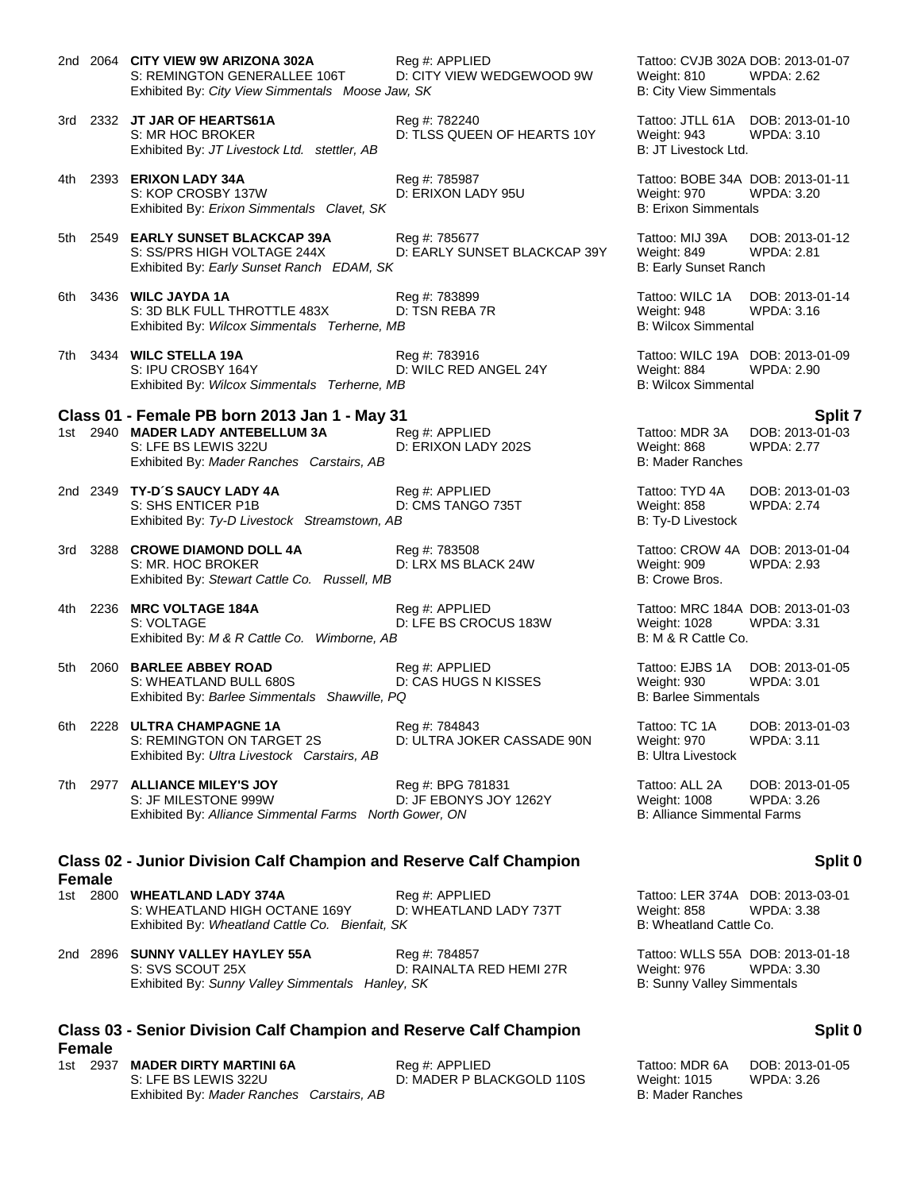2nd 2064 **CITY VIEW 9W ARIZONA 302A** Reg #: APPLIED Tattoo: CVJB 302A DOB: 2013-01-07 S: REMINGTON GENERALLEE 106T D: CITY VIEW WEDGEWOOD 9W Weight: 810 WPDA: 2.62 Exhibited By: *City View Simmentals Moose Jaw, SK* B: City View Simmentals 3rd 2332 **JT JAR OF HEARTS61A** Reg #: 782240 Tattoo: JTLL 61A DOB: 2013-01-10 S: MR HOC BROKER **D: TLSS QUEEN OF HEARTS 10Y** Weight: 943 WPDA: 3.10 Exhibited By: *JT Livestock Ltd.* stettler, AB B: JT Livestock Ltd. 4th 2393 **ERIXON LADY 34A** Reg #: 785987 Tattoo: BOBE 34A DOB: 2013-01-11 S: KOP CROSBY 137W D: ERIXON LADY 95U Weight: 970 WPDA: 3.20 Exhibited By: *Erixon Simmentals Clavet, SK* B: Erixon Simmentals 5th 2549 **EARLY SUNSET BLACKCAP 39A** Reg #: 785677 Tattoo: MIJ 39A DOB: 2013-01-12 S: SS/PRS HIGH VOLTAGE 244X D: EARLY SUNSET BLACKCAP 39Y Weight: 849 WPDA: 2.81<br>Exhibited By: Early Sunset Ranch EDAM, SK B: Early Sunset Ranch Exhibited By: Early Sunset Ranch EDAM, SK 6th 3436 **WILC JAYDA 1A** Reg #: 783899 Tattoo: WILC 1A DOB: 2013-01-14 S: 3D BLK FULL THROTTLE 483X D: TSN REBA 7R Weight: 948 WPDA: 3.16<br>
Exhibited By: Wilcox Simmentals Terherne. MB<br>
B: Wilcox Simmental Exhibited By: Wilcox Simmentals Terherne, MB 7th 3434 **WILC STELLA 19A** Reg #: 783916 Tattoo: WILC 19A DOB: 2013-01-09 D: WILC RED ANGEL 24Y Exhibited By: *Wilcox Simmentals Terherne, MB* B: Wilcox Simmentals Terherne, MB **Class 01 - Female PB born 2013 Jan 1 - May 31 Split 7** 1st 2940 **MADER LADY ANTEBELLUM 3A** Reg #: APPLIED **Tattoo: MDR 3A DOB: 2013-01-03**<br>S: LFE BS LEWIS 322U D: ERIXON LADY 202S Weight: 868 WPDA: 2.77 D: ERIXON LADY 202S<br>B: Mader Ranches Exhibited By: Mader Ranches Carstairs, AB 2nd 2349 **TY-D´S SAUCY LADY 4A** Reg #: APPLIED Tattoo: TYD 4A DOB: 2013-01-03 S: SHS ENTICER P1B D: CMS TANGO 735T Weight: 858 WPDA: 2.74 Exhibited By: Ty-D Livestock Streamstown, AB B: Ty-D Livestock 3rd 3288 **CROWE DIAMOND DOLL 4A** Reg #: 783508 Tattoo: CROW 4A DOB: 2013-01-04 S: MR. HOC BROKER **DIGKER DIGK AT A DIGK AT A DIGK AT A SEACK 24W** Weight: 909 WPDA: 2.93 Exhibited By: *Stewart Cattle Co. Russell, MB* B: Crowe Bros. **B: Crowe Bros.** 4th 2236 **MRC VOLTAGE 184A** Reg #: APPLIED Tattoo: MRC 184A DOB: 2013-01-03 S: VOLTAGE THE DISTURS ON D: LFE BS CROCUS 183W The Unit of Meight: 1028 WPDA: 3.31 Exhibited By: *M & R Cattle Co. Wimborne, AB* B: M & R Cattle Co. 5th 2060 **BARLEE ABBEY ROAD** Reg #: APPLIED Tattoo: EJBS 1A DOB: 2013-01-05 S: WHEATLAND BULL 680S D: CAS HUGS N KISSES Weight: 930 WPDA: 3.01 Exhibited By: *Barlee Simmentals Shawville, PQ* B: Barlee Simmentals B: Barlee Simmentals 6th 2228 **ULTRA CHAMPAGNE 1A** Reg #: 784843 Tattoo: TC 1A DOB: 2013-01-03<br>S: REMINGTON ON TARGET 2S D: ULTRA JOKER CASSADE 90N Weight: 970 WPDA: 3.11 S: REMINGTON ON TARGET 2S D: ULTRA JOKER CASSADE 90N Weight: 970<br>Exhibited By: *Ultra Livestock Carstairs. AB* B: Ultra Livestock Exhibited By: Ultra Livestock Carstairs, AB 7th 2977 **ALLIANCE MILEY'S JOY** Reg #: BPG 781831 Tattoo: ALL 2A DOB: 2013-01-05 S: JF MILESTONE 999W D: JF EBONYS JOY 1262Y Weight: 1008 WPDA: 3.26 Exhibited By: *Alliance Simmental Farms North Gower, ON* B: Alliance Simmental Farms **Class 02 - Junior Division Calf Champion and Reserve Calf Champion Female** 1st 2800 **WHEATLAND LADY 374A** Reg #: APPLIED Tattoo: LER 374A DOB: 2013-03-01<br>S: WHEATLAND HIGH OCTANE 169Y D: WHEATLAND LADY 737T Weight: 858 WPDA: 3.38 S: WHEATLAND HIGH OCTANE 169Y D: WHEATLAND LADY 737T Weight: 858 WPI<br>Exhibited By: Wheatland Cattle Co. Bienfait, SK B: 3.38 B: Wheatland Cattle Co. Exhibited By: Wheatland Cattle Co. Bienfait, SK 2nd 2896 **SUNNY VALLEY HAYLEY 55A** Reg #: 784857 Tattoo: WLLS 55A DOB: 2013-01-18 S: SVS SCOUT 25X D: RAINALTA RED HEMI 27R Weight: 976 WPDA: 3.30 Exhibited By: *Sunny Valley Simmentals Hanley, SK* B: Sunny Valley Simmentals Hanley, SK B: Sunny Valley Simmentals **Class 03 - Senior Division Calf Champion and Reserve Calf Champion Female** 1st 2937 **MADER DIRTY MARTINI 6A** Reg #: APPLIED Tattoo: MDR 6A DOB: 2013-01-05 S: LFE BS LEWIS 322U D: MADER P BLACKGOLD 110S Weight: 1015 WPDA: 3.26

### **Split 0**

### **Split 0**

# Exhibited By: *Mader Ranches Carstairs, AB* B: Mader Ranches B: Mader Ranches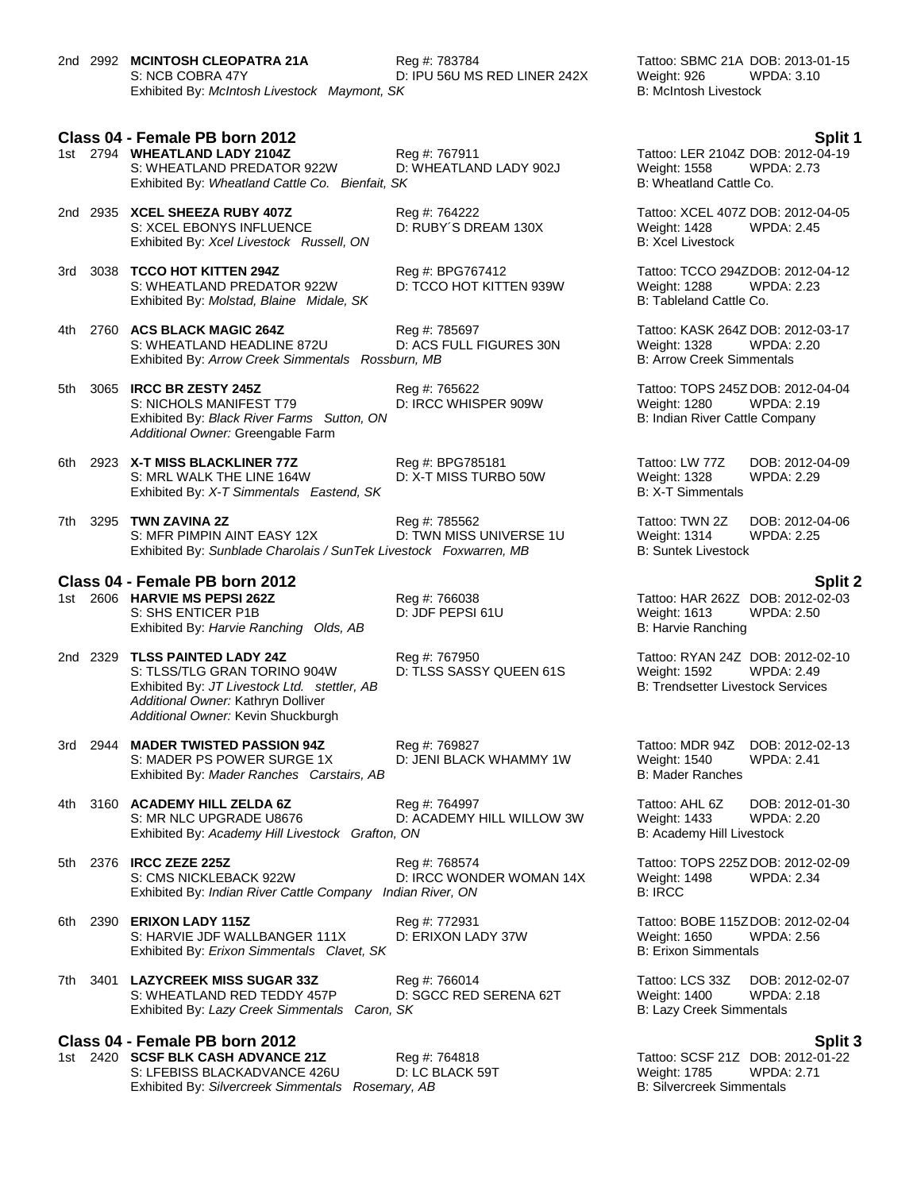2nd 2992 **MCINTOSH CLEOPATRA 21A** Reg #: 783784 Tattoo: SBMC 21A DOB: 2013-01-15<br>S: NCB COBRA 47Y D: IPU 56U MS RED LINER 242X Weight: 926 WPDA: 3.10 S: NCB COBRA 47Y **D: IPU 56U MS RED LINER 242X** Weight: 926 WPDA: 3.10<br>Exhibited By: *McIntosh Livestock Maymont*, SK B: McIntosh Livestock By: McIntosh Livestock Exhibited By: McIntosh Livestock Maymont, SK

**Class 04 - Female PB born 2012 Split 1**

- 1st 2794 **WHEATLAND LADY 2104Z** Reg #: 767911 Tattoo: LER 2104Z DOB: 2012-04-19 S: WHEATLAND PREDATOR 922W D: WHEATLAND LADY 902J Weight: 1558 WPI<br>Exhibited By: Wheatland Cattle Co. Bienfait, SK B: 2.733 B: Wheatland Cattle Co. Exhibited By: Wheatland Cattle Co. Bienfait, SK
- 2nd 2935 **XCEL SHEEZA RUBY 407Z** Reg #: 764222 Tattoo: XCEL 407Z DOB: 2012-04-05<br>S: XCEL EBONYS INFLUENCE D: RUBY'S DREAM 130X Weight: 1428 WPDA: 2.45 S: XCEL EBONYS INFLUENCE D: RUBY´S DREAM 130X Weight: 1428 WPDA: 2.45 Exhibited By: *Xcel Livestock Russell, ON* B: Xcel Livestock **B**: *Xcel Livestock*
- 3rd 3038 **TCCO HOT KITTEN 294Z** Reg #: BPG767412 Tattoo: TCCO 294ZDOB: 2012-04-12 S: WHEATLAND PREDATOR 922W D: TCCO HOT KITTEN 939W Weight: 1288 WPDA: 2.23 Exhibited By: *Molstad, Blaine Midale, SK* B: Tableland Cattle Co.

- 4th 2760 **ACS BLACK MAGIC 264Z** Reg #: 785697 Tattoo: KASK 264Z DOB: 2012-03-17 S: WHEATLAND HEADLINE 872U D: ACS FULL FIGURES 30N Weight: 1328 WPDA: 2.20<br>Exhibited By: Arrow Creek Simmentals Rossburn, MB B: Arrow Creek Simmentals Exhibited By: Arrow Creek Simmentals Rossburn, MB
- 5th 3065 **IRCC BR ZESTY 245Z** Reg #: 765622 Tattoo: TOPS 245Z DOB: 2012-04-04 S: NICHOLS MANIFEST T79 D: IRCC WHISPER 909W Weight: 1280 WPDA: 2.19 Exhibited By: *Black River Farms Sutton, ON* B: Indian River Cattle Company *Additional Owner:* Greengable Farm
- 6th 2923 **X-T MISS BLACKLINER 77Z** Reg #: BPG785181 Tattoo: LW 77Z DOB: 2012-04-09 S: MRL WALK THE LINE 164W D: X-T MISS TURBO 50W Weight: 1328 WPDA: 2.29 Exhibited By: *X-T Simmentals Eastend, SK* B: X-T Simmentals B: X-T Simmentals

7th 3295 **TWN ZAVINA 2Z** Reg #: 785562 Tattoo: TWN 2Z DOB: 2012-04-06<br>S: MFR PIMPIN AINT EASY 12X D: TWN MISS UNIVERSE 1U Weight: 1314 WPDA: 2.25 S: MFR PIMPIN AINT EASY 12X Exhibited By: *Sunblade Charolais / SunTek Livestock Foxwarren, MB* B: Suntek Livestock

### **Class 04 - Female PB born 2012 Split 2**

S: SHS ENTICER P1B D: JDF PEPSI 61U Weight: 1613 WPDA: 2.50 Exhibited By: *Harvie Ranching Olds, AB* B: Harvie Ranching **B: Harvie Ranching** B: Harvie Ranching

- 2nd 2329 **TLSS PAINTED LADY 24Z** Reg #: 767950 Tattoo: RYAN 24Z DOB: 2012-02-10 S: TLSS/TLG GRAN TORINO 904W D: TLSS SASSY QUEEN 61S Weight: 1592 WPDA: 2.49 Exhibited By: *JT Livestock Ltd. stettler, AB* B: Trendsetter Livestock Services *Additional Owner:* Kathryn Dolliver *Additional Owner:* Kevin Shuckburgh
- 3rd 2944 **MADER TWISTED PASSION 94Z** Reg #: 769827 Tattoo: MDR 94Z DOB: 2012-02-13<br>S: MADER PS POWER SURGE 1X D: JENI BLACK WHAMMY 1W Weight: 1540 WPDA: 2.41 S: MADER PS POWER SURGE 1X D: JENI BLACK WHAMMY 1W Exhibited By: *Mader Ranches Carstairs, AB* B: Mader Ranches Carstairs, AB

4th 3160 **ACADEMY HILL ZELDA 6Z** Reg #: 764997 **Tattoo: AHL 6Z** DOB: 2012-01-30<br>S: MR NLC UPGRADE U8676 D: ACADEMY HILL WILLOW 3W Weight: 1433 WPDA: 2.20 D: ACADEMY HILL WILLOW 3W Weight: 1433 WPDA:<br>2.30 B: Academy Hill Livestock Exhibited By: Academy Hill Livestock Grafton, ON

5th 2376 **IRCC ZEZE 225Z** Reg #: 768574 Tattoo: TOPS 225Z DOB: 2012-02-09 S: CMS NICKLEBACK 922W D: IRCC WONDER WOMAN 14X Weight: 1498 WPDA: 2.34<br>
Exhibited By: Indian River Cattle Company Indian River, ON B: IRCC B: IRCC Exhibited By: Indian River Cattle Company Indian River, ON

- 6th 2390 **ERIXON LADY 115Z** Reg #: 772931 Tattoo: BOBE 115ZDOB: 2012-02-04 S: HARVIE JDF WALLBANGER 111X D: ERIXON LADY 37W Weight: 1650 WPDA: 2.56<br>
Exhibited By: *Erixon Simmentals Clavet, SK* B: Erixon Simmentals Exhibited By: Erixon Simmentals Clavet, SK
- 7th 3401 **LAZYCREEK MISS SUGAR 33Z** Reg #: 766014 Tattoo: LCS 33Z DOB: 2012-02-07 S: WHEATLAND RED TEDDY 457P D: SGCC RED SERENA 62T Weight: 1400 WPDA: 2.18 Exhibited By: Lazy Creek Simmentals Caron, SK

**Class 04 - Female PB born 2012**<br>1st 2420 SCSF BLK CASH ADVANCE 21Z Reg #: 764818 Tattoo: SCSF 21Z DOB: 2012-01-22 1st 2420 **SCSF BLK CASH ADVANCE 21Z** Reg #: 764818 S: LFEBISS BLACKADVANCE 426U D: LC BLACK 59T Weight: 1785 WPDA: 2.71 Exhibited By: Silvercreek Simmentals Rosemary, AB **B: Silvercreek Simmentals** B: Silvercreek Simmentals

1st 2606 **HARVIE MS PEPSI 262Z** Reg #: 766038 Tattoo: HAR 262Z DOB: 2012-02-03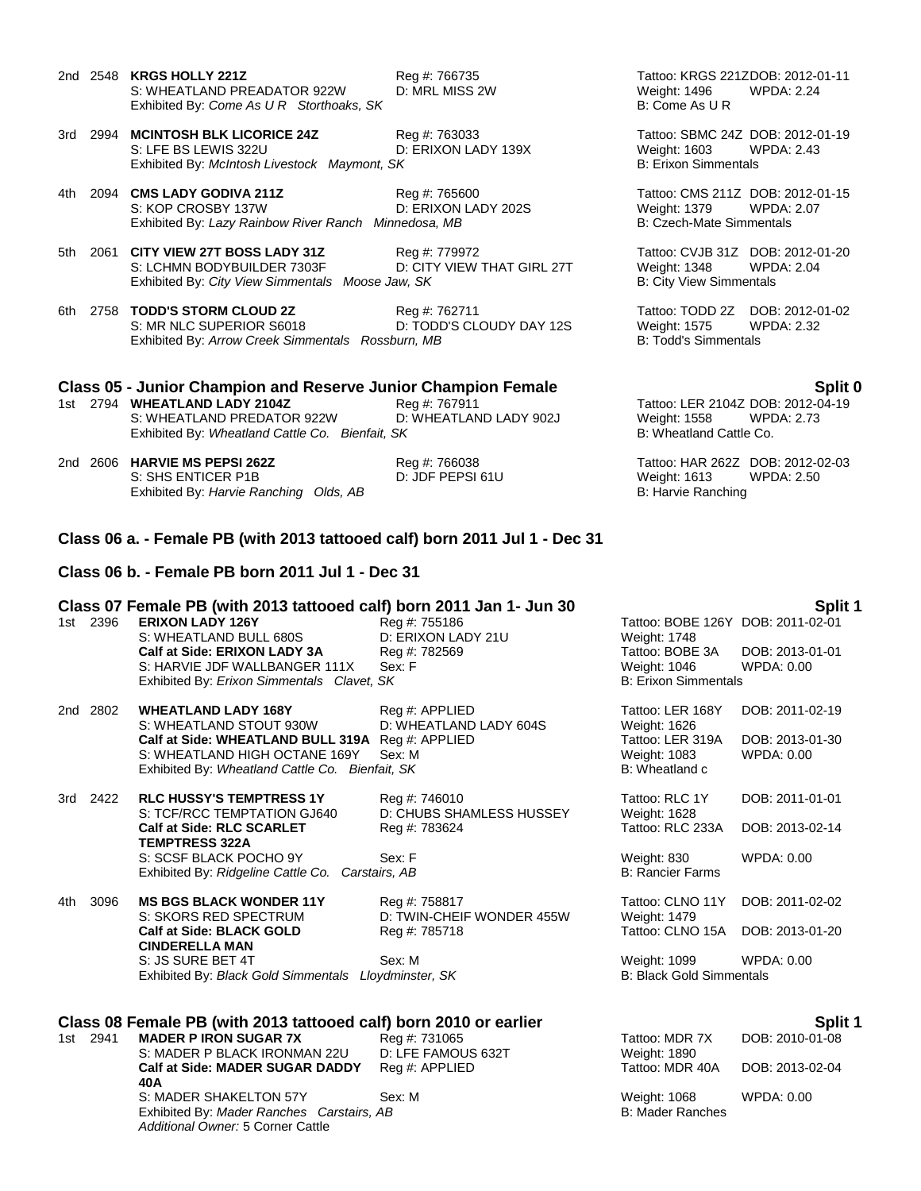- 2nd 2548 **KRGS HOLLY 221Z**<br>211 Reg #: 766735 Tattoo: KRGS 221ZDOB: 2012-01-11<br>22.24 Weight: 1496 WPDA: 2.24 S: WHEATLAND PREADATOR 922W D: MRL MISS 2W Weight: 1496<br>Exhibited Bv: *Come As U R Storthoaks. SK* B: Come As U R Exhibited By: Come As U R Storthoaks, SK
- 3rd 2994 **MCINTOSH BLK LICORICE 24Z** Reg #: 763033 Tattoo: SBMC 24Z DOB: 2012-01-19 S: LFE BS LEWIS 322U **D: ERIXON LADY 139X** Weight: 1603 WPDA: 2.43<br>Exhibited By: *McIntosh Livestock Maymont, SK* B: Erixon Simmentals B: Erixon Simmentals Exhibited By: McIntosh Livestock Maymont, SK

4th 2094 **CMS LADY GODIVA 211Z** Reg #: 765600 Tattoo: CMS 211Z DOB: 2012-01-15 Exhibited By: *Lazy Rainbow River Ranch Minnedosa, MB* B: Czech-Mate Simmentals

5th 2061 **CITY VIEW 27T BOSS LADY 31Z** Reg #: 779972 Tattoo: CVJB 31Z DOB: 2012-01-20 D: CITY VIEW THAT GIRL 27T Exhibited By: *City View Simmentals Moose Jaw, SK* B: City View Simmentals

6th 2758 **TODD'S STORM CLOUD 2Z** Reg #: 762711 **Tattoo: TODD 2Z DOB: 2012-01-02**<br>S: MR NLC SUPERIOR S6018 D: TODD'S CLOUDY DAY 12S Weight: 1575 WPDA: 2.32 D: TODD'S CLOUDY DAY 12S Weight: 1575 W<br>
Purn, MB B: Todd's Simmentals Exhibited By: Arrow Creek Simmentals Rossburn, MB

### **Class 05 - Junior Champion and Reserve Junior Champion Female Split 0**

1st 2794 **WHEATLAND LADY 2104Z** Reg #: 767911 Tattoo: LER 2104Z DOB: 2012-04-19 S: WHEATLAND PREDATOR 922W D: WHEATLAND LADY 902J Weight: 1558 WPD<br>Exhibited By: Wheatland Cattle Co. Bienfait. SK B: 2.733 B: 2.733 Wheatland Cattle Co. Exhibited By: Wheatland Cattle Co. Bienfait, SK

2nd 2606 **HARVIE MS PEPSI 262Z** Reg #: 766038 Tattoo: HAR 262Z DOB: 2012-02-03 S: SHS ENTICER P1B D: JDF PEPSI 61U Weight: 1613 WPDA: 2.50 Exhibited By: *Harvie Ranching Olds, AB* B: Harvie Ranching **B: Harvie Ranching** 

D: ERIXON LADY 202S Weight: 1379 WPDA: 2.07

### **Class 06 a. - Female PB (with 2013 tattooed calf) born 2011 Jul 1 - Dec 31**

### **Class 06 b. - Female PB born 2011 Jul 1 - Dec 31**

## **Class 07 Female PB (with 2013 tattooed calf) born 2011 Jan 1- Jun 30 Split 1**

S: WHEATLAND BULL 680S D: ERIXON LADY 21U Weight: 1748 **Calf at Side: ERIXON LADY 3A** Reg #: 782569 Tattoo: BOBE 3A DOB: 2013-01-01 S: HARVIE JDF WALLBANGER 111X Sex: F Weight: 1046 WPDA: 0.00 Weight: 1046 WPDA: 0.00 WEDA: 0.00 Simmentals Clavet. SK Exhibited By: *Erixon Simmentals Clavet, SK* 

1st 2396 **ERIXON LADY 21U**<br>1969 **ERIXON LADY 21U**<br>2011 Weight: 1748

| 2nd 2802 | <b>WHEATLAND LADY 168Y</b>                       | Reg #: APPLIED         |
|----------|--------------------------------------------------|------------------------|
|          | S: WHEATLAND STOUT 930W                          | D: WHEATLAND LADY 604S |
|          | Calf at Side: WHEATLAND BULL 319A Req #: APPLIED |                        |
|          | S: WHEATLAND HIGH OCTANE 169Y                    | - Sex: M               |
|          | Exhibited By: Wheatland Cattle Co. Bienfait, SK  |                        |
|          |                                                  |                        |

| 3rd 2422 | <b>RLC HUSSY'S TEMPTRESS 1Y</b>                  | Reg #: 746010            | Tattoo: RLC 1Y          | DOB: 2011-01-01 |
|----------|--------------------------------------------------|--------------------------|-------------------------|-----------------|
|          | S: TCF/RCC TEMPTATION GJ640                      | D: CHUBS SHAMLESS HUSSEY | Weight: 1628            |                 |
|          | <b>Calf at Side: RLC SCARLET</b>                 | Reg #: 783624            | Tattoo: RLC 233A        | DOB: 2013-02-14 |
|          | <b>TEMPTRESS 322A</b>                            |                          |                         |                 |
|          | S: SCSF BLACK POCHO 9Y                           | Sex: F                   | Weight: 830             | WPDA: 0.00      |
|          | Exhibited By: Ridgeline Cattle Co. Carstairs, AB |                          | <b>B: Rancier Farms</b> |                 |
|          |                                                  |                          |                         |                 |

4th 3096 **MS BGS BLACK WONDER 11Y** Reg #: 758817 Tattoo: CLNO 11Y DOB: 2011-02-02 S: SKORS RED SPECTRUM D: TWIN-CHEIF WONDER 455W Weight: 1479 **Calf at Side: BLACK GOLD CINDERELLA MAN** S: JS SURE BET 4T Sex: M Weight: 1099 WPDA: 0.00 Exhibited By: *Black Gold Simmentals Lloydminster, SK* B: Black Gold Simmentals

### **Class 08 Female PB (with 2013 tattooed calf) born 2010 or earlier Split 1**

1st 2941 **MADER P IRON SUGAR 7X** Reg #: 731065 S: MADER P BLACK IRONMAN 22U D: LFE FAMOUS 632T **Calf at Side: MADER SUGAR DADDY 40A** Reg #: APPLIED S: MADER SHAKELTON 57Y Sex: M Exhibited By: *Mader Ranches Carstairs, AB* B: Mader Ranches *Additional Owner:* 5 Corner Cattle

## Tattoo: LER 168Y DOB: 2011-02-19 Weight: 1626 Tattoo: LER 319A DOB: 2013-01-30<br>Weight: 1083 WPDA: 0.00 Weight: 1083 B: Wheatland c

Reg #: 785718 Tattoo: CLNO 15A DOB: 2013-01-20

| Tattoo: MDR 7X<br>Weight: 1890         | DOB: 2010-01-08 |
|----------------------------------------|-----------------|
| Tattoo: MDR 40A                        | DOB: 2013-02-04 |
| Weight: 1068<br><b>B</b> Moder Ponches | WPDA: 0.00      |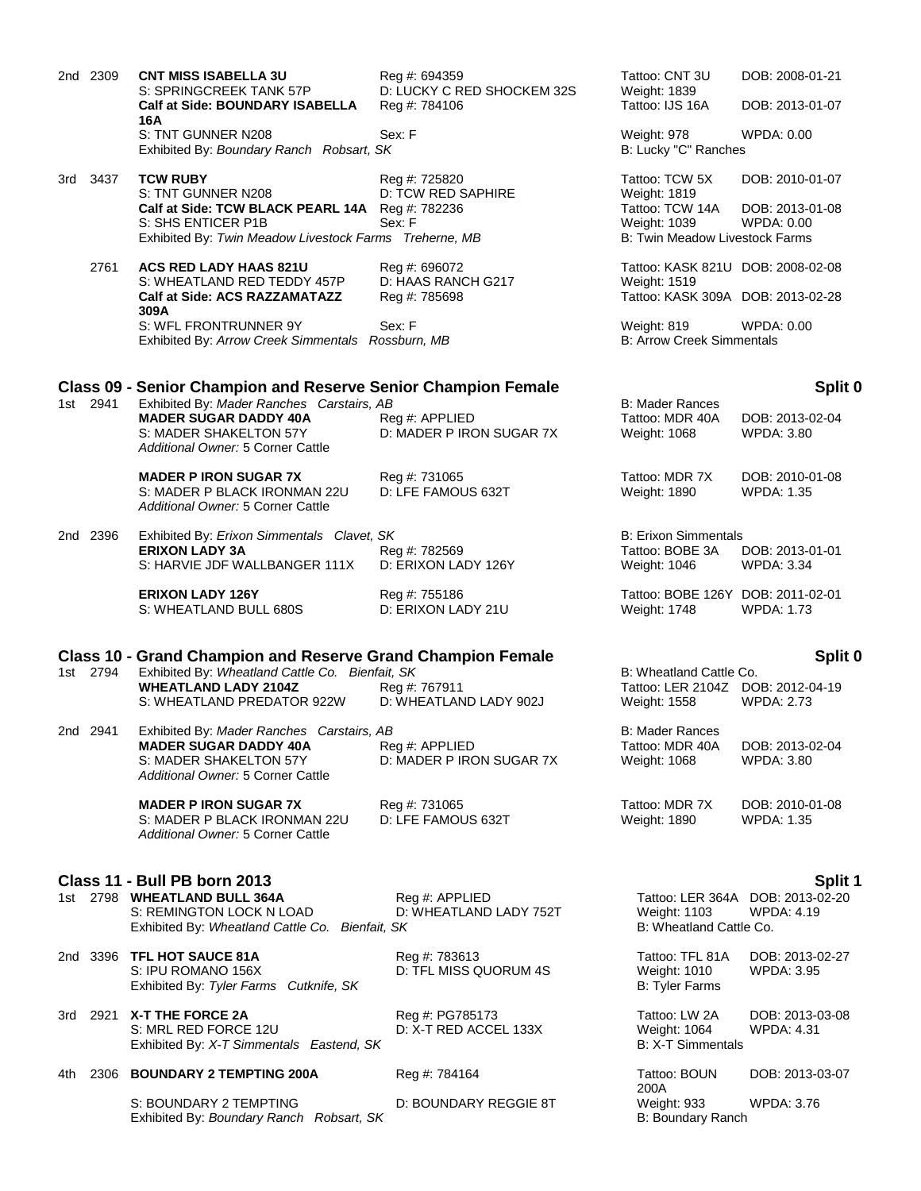|     | 2nd 2309 | <b>CNT MISS ISABELLA 3U</b><br>S: SPRINGCREEK TANK 57P<br>Calf at Side: BOUNDARY ISABELLA                                                                                                                        | Reg #: 694359<br>D: LUCKY C RED SHOCKEM 32S<br>Reg #: 784106 | Tattoo: CNT 3U<br>Weight: 1839<br>Tattoo: IJS 16A                                                   | DOB: 2008-01-21<br>DOB: 2013-01-07                               |
|-----|----------|------------------------------------------------------------------------------------------------------------------------------------------------------------------------------------------------------------------|--------------------------------------------------------------|-----------------------------------------------------------------------------------------------------|------------------------------------------------------------------|
|     |          | 16A<br>S: TNT GUNNER N208<br>Exhibited By: Boundary Ranch Robsart, SK                                                                                                                                            | Sex: F                                                       | Weight: 978<br>B: Lucky "C" Ranches                                                                 | WPDA: 0.00                                                       |
|     | 3rd 3437 | <b>TCW RUBY</b><br>S: TNT GUNNER N208<br>Calf at Side: TCW BLACK PEARL 14A Reg #: 782236<br>S: SHS ENTICER P1B<br>Exhibited By: Twin Meadow Livestock Farms Treherne, MB                                         | Reg #: 725820<br>D: TCW RED SAPHIRE<br>Sex: F                | Tattoo: TCW 5X<br>Weight: 1819<br>Tattoo: TCW 14A<br>Weight: 1039<br>B: Twin Meadow Livestock Farms | DOB: 2010-01-07<br>DOB: 2013-01-08<br>WPDA: 0.00                 |
|     | 2761     | <b>ACS RED LADY HAAS 821U</b><br>S: WHEATLAND RED TEDDY 457P<br><b>Calf at Side: ACS RAZZAMATAZZ</b><br>309A                                                                                                     | Reg #: 696072<br>D: HAAS RANCH G217<br>Reg #: 785698         | Tattoo: KASK 821U DOB: 2008-02-08<br>Weight: 1519<br>Tattoo: KASK 309A DOB: 2013-02-28              |                                                                  |
|     |          | S: WFL FRONTRUNNER 9Y<br>Exhibited By: Arrow Creek Simmentals Rossburn, MB                                                                                                                                       | Sex: F                                                       | Weight: 819<br><b>B: Arrow Creek Simmentals</b>                                                     | WPDA: 0.00                                                       |
|     | 1st 2941 | <b>Class 09 - Senior Champion and Reserve Senior Champion Female</b><br>Exhibited By: Mader Ranches Carstairs, AB<br><b>MADER SUGAR DADDY 40A</b><br>S: MADER SHAKELTON 57Y<br>Additional Owner: 5 Corner Cattle | Reg #: APPLIED<br>D: MADER P IRON SUGAR 7X                   | <b>B: Mader Rances</b><br>Tattoo: MDR 40A<br>Weight: 1068                                           | Split 0<br>DOB: 2013-02-04<br>WPDA: 3.80                         |
|     |          | <b>MADER PIRON SUGAR 7X</b><br>S: MADER P BLACK IRONMAN 22U<br>Additional Owner: 5 Corner Cattle                                                                                                                 | Reg #: 731065<br>D: LFE FAMOUS 632T                          | Tattoo: MDR 7X<br>Weight: 1890                                                                      | DOB: 2010-01-08<br>WPDA: 1.35                                    |
|     | 2nd 2396 | Exhibited By: Erixon Simmentals Clavet, SK<br><b>ERIXON LADY 3A</b><br>S: HARVIE JDF WALLBANGER 111X                                                                                                             | Reg #: 782569<br>D: ERIXON LADY 126Y                         | <b>B: Erixon Simmentals</b><br>Tattoo: BOBE 3A<br>Weight: 1046                                      | DOB: 2013-01-01<br><b>WPDA: 3.34</b>                             |
|     |          | <b>ERIXON LADY 126Y</b><br>S: WHEATLAND BULL 680S                                                                                                                                                                | Reg #: 755186<br>D: ERIXON LADY 21U                          | Tattoo: BOBE 126Y DOB: 2011-02-01<br>Weight: 1748                                                   | <b>WPDA: 1.73</b>                                                |
|     | 1st 2794 | <b>Class 10 - Grand Champion and Reserve Grand Champion Female</b><br>Exhibited By: Wheatland Cattle Co. Bienfait, SK<br><b>WHEATLAND LADY 2104Z</b><br>S: WHEATLAND PREDATOR 922W                               | Reg #: 767911<br>D: WHEATLAND LADY 902J                      | B: Wheatland Cattle Co.<br>Tattoo: LER 2104Z DOB: 2012-04-19<br>Weight: 1558                        | Split 0<br><b>WPDA: 2.73</b>                                     |
|     | 2nd 2941 | Exhibited By: Mader Ranches Carstairs, AB<br><b>MADER SUGAR DADDY 40A</b><br>S: MADER SHAKELTON 57Y<br>Additional Owner: 5 Corner Cattle                                                                         | Reg #: APPLIED<br>D: MADER P IRON SUGAR 7X                   | <b>B: Mader Rances</b><br>Tattoo: MDR 40A<br>Weight: 1068                                           | DOB: 2013-02-04<br><b>WPDA: 3.80</b>                             |
|     |          | <b>MADER PIRON SUGAR 7X</b><br>S: MADER P BLACK IRONMAN 22U<br>Additional Owner: 5 Corner Cattle                                                                                                                 | Reg #: 731065<br>D: LFE FAMOUS 632T                          | Tattoo: MDR 7X<br>Weight: 1890                                                                      | DOB: 2010-01-08<br><b>WPDA: 1.35</b>                             |
|     |          | Class 11 - Bull PB born 2013<br>1st 2798 WHEATLAND BULL 364A<br>S: REMINGTON LOCK N LOAD<br>Exhibited By: Wheatland Cattle Co. Bienfait, SK                                                                      | Reg #: APPLIED<br>D: WHEATLAND LADY 752T                     | Weight: 1103<br>B: Wheatland Cattle Co.                                                             | Split 1<br>Tattoo: LER 364A DOB: 2013-02-20<br><b>WPDA: 4.19</b> |
|     |          | 2nd 3396 TFL HOT SAUCE 81A<br>S: IPU ROMANO 156X<br>Exhibited By: Tyler Farms Cutknife, SK                                                                                                                       | Reg #: 783613<br>D: TFL MISS QUORUM 4S                       | Tattoo: TFL 81A<br>Weight: 1010<br><b>B: Tyler Farms</b>                                            | DOB: 2013-02-27<br><b>WPDA: 3.95</b>                             |
|     | 3rd 2921 | X-T THE FORCE 2A<br>S: MRL RED FORCE 12U<br>Exhibited By: X-T Simmentals Eastend, SK                                                                                                                             | Reg #: PG785173<br>D: X-T RED ACCEL 133X                     | Tattoo: LW 2A<br>Weight: 1064<br>B: X-T Simmentals                                                  | DOB: 2013-03-08<br>WPDA: 4.31                                    |
| 4th | 2306     | <b>BOUNDARY 2 TEMPTING 200A</b>                                                                                                                                                                                  | Reg #: 784164                                                | Tattoo: BOUN                                                                                        | DOB: 2013-03-07                                                  |
|     |          | S: BOUNDARY 2 TEMPTING<br>Exhibited By: Boundary Ranch Robsart, SK                                                                                                                                               | D: BOUNDARY REGGIE 8T                                        | 200A<br>Weight: 933<br>B: Boundary Ranch                                                            | <b>WPDA: 3.76</b>                                                |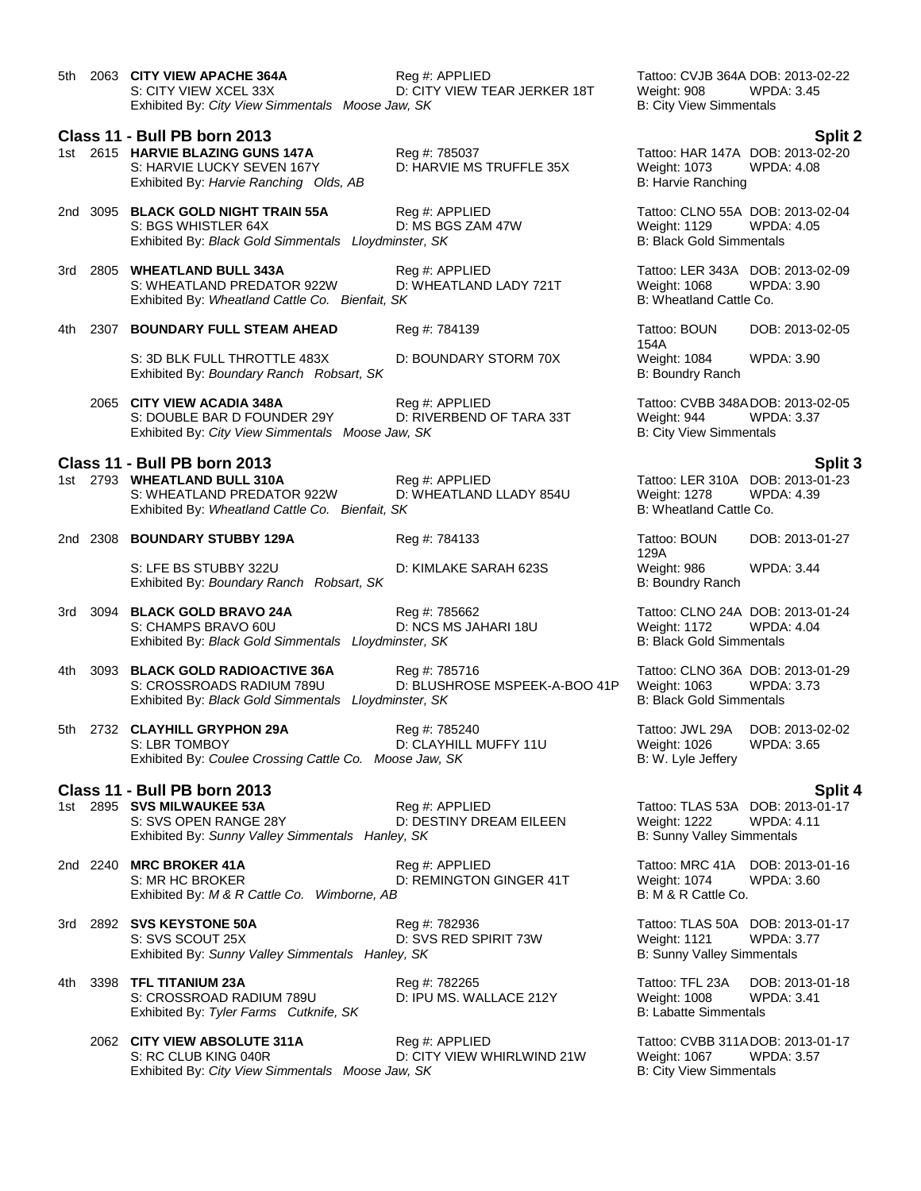|     |          | 5th 2063 CITY VIEW APACHE 364A<br>S: CITY VIEW XCEL 33X<br>Exhibited By: City View Simmentals Moose Jaw, SK                               | Reg #: APPLIED<br>D: CITY VIEW TEAR JERKER 18T | Tattoo: CVJB 364A DOB: 2013-02-22<br>Weight: 908<br><b>B: City View Simmentals</b>           | WPDA: 3.45                                            |
|-----|----------|-------------------------------------------------------------------------------------------------------------------------------------------|------------------------------------------------|----------------------------------------------------------------------------------------------|-------------------------------------------------------|
|     |          | Class 11 - Bull PB born 2013<br>1st 2615 HARVIE BLAZING GUNS 147A<br>S: HARVIE LUCKY SEVEN 167Y<br>Exhibited By: Harvie Ranching Olds, AB | Reg #: 785037<br>D: HARVIE MS TRUFFLE 35X      | Tattoo: HAR 147A DOB: 2013-02-20<br>Weight: 1073<br><b>B: Harvie Ranching</b>                | <b>Split 2</b><br><b>WPDA: 4.08</b>                   |
|     |          | 2nd 3095 BLACK GOLD NIGHT TRAIN 55A<br>S: BGS WHISTLER 64X<br>Exhibited By: Black Gold Simmentals Lloydminster, SK                        | Reg #: APPLIED<br>D: MS BGS ZAM 47W            | Tattoo: CLNO 55A DOB: 2013-02-04<br>Weight: 1129<br><b>B: Black Gold Simmentals</b>          | <b>WPDA: 4.05</b>                                     |
|     |          | 3rd 2805 WHEATLAND BULL 343A<br>S: WHEATLAND PREDATOR 922W<br>Exhibited By: Wheatland Cattle Co. Bienfait, SK                             | Reg #: APPLIED<br>D: WHEATLAND LADY 721T       | Tattoo: LER 343A DOB: 2013-02-09<br>Weight: 1068<br>B: Wheatland Cattle Co.                  | <b>WPDA: 3.90</b>                                     |
| 4th |          | 2307 BOUNDARY FULL STEAM AHEAD                                                                                                            | Reg #: 784139                                  | Tattoo: BOUN<br>154A                                                                         | DOB: 2013-02-05                                       |
|     |          | S: 3D BLK FULL THROTTLE 483X<br>Exhibited By: Boundary Ranch Robsart, SK                                                                  | D: BOUNDARY STORM 70X                          | Weight: 1084<br>B: Boundry Ranch                                                             | <b>WPDA: 3.90</b>                                     |
|     |          | 2065 CITY VIEW ACADIA 348A<br>S: DOUBLE BAR D FOUNDER 29Y<br>Exhibited By: City View Simmentals Moose Jaw, SK                             | Reg #: APPLIED<br>D: RIVERBEND OF TARA 33T     | Tattoo: CVBB 348ADOB: 2013-02-05<br>Weight: 944<br><b>B: City View Simmentals</b>            | <b>WPDA: 3.37</b>                                     |
|     |          | Class 11 - Bull PB born 2013                                                                                                              |                                                |                                                                                              | Split 3                                               |
|     |          | 1st 2793 WHEATLAND BULL 310A<br>S: WHEATLAND PREDATOR 922W<br>Exhibited By: Wheatland Cattle Co. Bienfait, SK                             | Reg #: APPLIED<br>D: WHEATLAND LLADY 854U      | Weight: 1278<br>B: Wheatland Cattle Co.                                                      | Tattoo: LER 310A DOB: 2013-01-23<br><b>WPDA: 4.39</b> |
|     |          | 2nd 2308 BOUNDARY STUBBY 129A                                                                                                             | Reg #: 784133                                  | Tattoo: BOUN<br>129A                                                                         | DOB: 2013-01-27                                       |
|     |          | S: LFE BS STUBBY 322U<br>Exhibited By: Boundary Ranch Robsart, SK                                                                         | D: KIMLAKE SARAH 623S                          | Weight: 986<br>B: Boundry Ranch                                                              | <b>WPDA: 3.44</b>                                     |
| 3rd |          | 3094 BLACK GOLD BRAVO 24A<br>S: CHAMPS BRAVO 60U<br>Exhibited By: Black Gold Simmentals Lloydminster, SK                                  | Reg #: 785662<br>D: NCS MS JAHARI 18U          | Tattoo: CLNO 24A DOB: 2013-01-24<br>Weight: 1172<br><b>B: Black Gold Simmentals</b>          | <b>WPDA: 4.04</b>                                     |
|     | 4th 3093 | <b>BLACK GOLD RADIOACTIVE 36A</b><br>S: CROSSROADS RADIUM 789U<br>Exhibited By: Black Gold Simmentals Lloydminster, SK                    | Reg #: 785716<br>D: BLUSHROSE MSPEEK-A-BOO 41P | Tattoo: CLNO 36A DOB: 2013-01-29<br>Weight: 1063<br><b>B: Black Gold Simmentals</b>          | <b>WPDA: 3.73</b>                                     |
|     |          | 5th 2732 CLAYHILL GRYPHON 29A<br>S: LBR TOMBOY<br>Exhibited By: Coulee Crossing Cattle Co. Moose Jaw, SK                                  | Reg #: 785240<br>D: CLAYHILL MUFFY 11U         | Tattoo: JWL 29A<br>Weight: 1026<br>B: W. Lyle Jeffery                                        | DOB: 2013-02-02<br><b>WPDA: 3.65</b>                  |
|     |          | Class 11 - Bull PB born 2013                                                                                                              |                                                |                                                                                              | <b>Split 4</b>                                        |
|     |          | 1st 2895 SVS MILWAUKEE 53A<br>S: SVS OPEN RANGE 28Y<br>Exhibited By: Sunny Valley Simmentals Hanley, SK                                   | Reg #: APPLIED<br>D: DESTINY DREAM EILEEN      | <b>Weight: 1222</b><br><b>B: Sunny Valley Simmentals</b>                                     | Tattoo: TLAS 53A DOB: 2013-01-17<br><b>WPDA: 4.11</b> |
|     |          | 2nd 2240 MRC BROKER 41A<br>S: MR HC BROKER<br>Exhibited By: M & R Cattle Co. Wimborne, AB                                                 | Reg #: APPLIED<br>D: REMINGTON GINGER 41T      | Tattoo: MRC 41A DOB: 2013-01-16<br><b>Weight: 1074</b><br>B: M & R Cattle Co.                | <b>WPDA: 3.60</b>                                     |
|     |          | 3rd 2892 SVS KEYSTONE 50A<br>S: SVS SCOUT 25X<br>Exhibited By: Sunny Valley Simmentals Hanley, SK                                         | Reg #: 782936<br>D: SVS RED SPIRIT 73W         | Tattoo: TLAS 50A DOB: 2013-01-17<br><b>Weight: 1121</b><br><b>B: Sunny Valley Simmentals</b> | <b>WPDA: 3.77</b>                                     |
| 4th |          | 3398 TFL TITANIUM 23A<br>S: CROSSROAD RADIUM 789U<br>Exhibited By: Tyler Farms Cutknife, SK                                               | Reg #: 782265<br>D: IPU MS. WALLACE 212Y       | Tattoo: TFL 23A<br>Weight: 1008<br><b>B: Labatte Simmentals</b>                              | DOB: 2013-01-18<br><b>WPDA: 3.41</b>                  |
|     |          | 2062 CITY VIEW ABSOLUTE 311A<br>S: RC CLUB KING 040R<br>Exhibited By: City View Simmentals Moose Jaw, SK                                  | Reg #: APPLIED<br>D: CITY VIEW WHIRLWIND 21W   | Tattoo: CVBB 311ADOB: 2013-01-17<br>Weight: 1067<br><b>B: City View Simmentals</b>           | <b>WPDA: 3.57</b>                                     |
|     |          |                                                                                                                                           |                                                |                                                                                              |                                                       |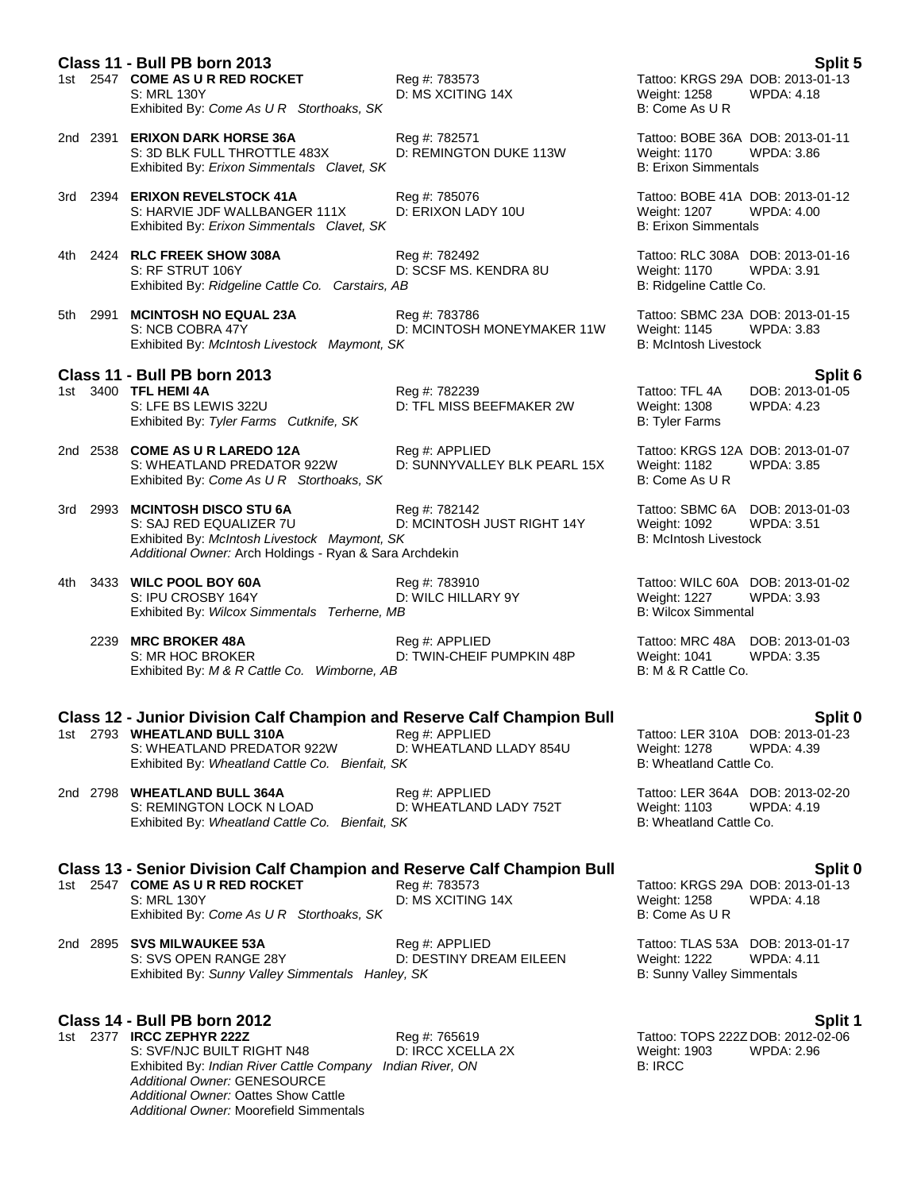|             | Class 11 - Bull PB born 2013<br>1st 2547 COME AS U R RED ROCKET<br>S: MRL 130Y<br>Exhibited By: Come As U R Storthoaks, SK                                                                      | Reg #: 783573<br>D: MS XCITING 14X             | Tattoo: KRGS 29A DOB: 2013-01-13<br>Weight: 1258<br>B: Come As U R                           | <b>Split 5</b><br><b>WPDA: 4.18</b>             |
|-------------|-------------------------------------------------------------------------------------------------------------------------------------------------------------------------------------------------|------------------------------------------------|----------------------------------------------------------------------------------------------|-------------------------------------------------|
|             | 2nd 2391 ERIXON DARK HORSE 36A<br>S: 3D BLK FULL THROTTLE 483X<br>Exhibited By: Erixon Simmentals Clavet, SK                                                                                    | Reg #: 782571<br>D: REMINGTON DUKE 113W        | Tattoo: BOBE 36A DOB: 2013-01-11<br><b>Weight: 1170</b><br><b>B: Erixon Simmentals</b>       | <b>WPDA: 3.86</b>                               |
|             | 3rd 2394 ERIXON REVELSTOCK 41A<br>S: HARVIE JDF WALLBANGER 111X<br>Exhibited By: Erixon Simmentals Clavet, SK                                                                                   | Reg #: 785076<br>D: ERIXON LADY 10U            | Tattoo: BOBE 41A DOB: 2013-01-12<br><b>Weight: 1207</b><br><b>B: Erixon Simmentals</b>       | <b>WPDA: 4.00</b>                               |
| 4th -       | 2424 RLC FREEK SHOW 308A<br>S: RF STRUT 106Y<br>Exhibited By: Ridgeline Cattle Co. Carstairs, AB                                                                                                | Reg #: 782492<br>D: SCSF MS. KENDRA 8U         | Tattoo: RLC 308A DOB: 2013-01-16<br><b>Weight: 1170</b><br>B: Ridgeline Cattle Co.           | <b>WPDA: 3.91</b>                               |
| 2991<br>5th | <b>MCINTOSH NO EQUAL 23A</b><br>S: NCB COBRA 47Y<br>Exhibited By: McIntosh Livestock Maymont, SK                                                                                                | Rea #: 783786<br>D: MCINTOSH MONEYMAKER 11W    | Tattoo: SBMC 23A DOB: 2013-01-15<br>Weight: 1145<br><b>B: McIntosh Livestock</b>             | <b>WPDA: 3.83</b>                               |
|             |                                                                                                                                                                                                 |                                                |                                                                                              |                                                 |
|             | Class 11 - Bull PB born 2013<br>1st 3400 TFL HEMI 4A<br>S: LFE BS LEWIS 322U<br>Exhibited By: Tyler Farms Cutknife, SK                                                                          | Reg #: 782239<br>D: TFL MISS BEEFMAKER 2W      | Tattoo: TFL 4A<br><b>Weight: 1308</b><br><b>B: Tyler Farms</b>                               | Split 6<br>DOB: 2013-01-05<br><b>WPDA: 4.23</b> |
|             | 2nd 2538 COME AS U R LAREDO 12A<br>S: WHEATLAND PREDATOR 922W<br>Exhibited By: Come As U R Storthoaks, SK                                                                                       | Reg #: APPLIED<br>D: SUNNYVALLEY BLK PEARL 15X | Tattoo: KRGS 12A DOB: 2013-01-07<br>Weight: 1182<br>B: Come As U R                           | WPDA: 3.85                                      |
| 3rd         | 2993 MCINTOSH DISCO STU 6A<br>S: SAJ RED EQUALIZER 7U<br>Exhibited By: McIntosh Livestock Maymont, SK<br>Additional Owner: Arch Holdings - Ryan & Sara Archdekin                                | Reg #: 782142<br>D: MCINTOSH JUST RIGHT 14Y    | Tattoo: SBMC 6A<br>Weight: 1092<br><b>B: McIntosh Livestock</b>                              | DOB: 2013-01-03<br><b>WPDA: 3.51</b>            |
| 4th         | 3433 WILC POOL BOY 60A<br>S: IPU CROSBY 164Y<br>Exhibited By: Wilcox Simmentals Terherne, MB                                                                                                    | Reg #: 783910<br>D: WILC HILLARY 9Y            | Tattoo: WILC 60A DOB: 2013-01-02<br>Weight: 1227<br><b>B: Wilcox Simmental</b>               | WPDA: 3.93                                      |
|             | 2239 MRC BROKER 48A<br>S: MR HOC BROKER<br>Exhibited By: M & R Cattle Co. Wimborne, AB                                                                                                          | Reg #: APPLIED<br>D: TWIN-CHEIF PUMPKIN 48P    | Tattoo: MRC 48A<br>Weight: 1041<br>B: M & R Cattle Co.                                       | DOB: 2013-01-03<br>WPDA: 3.35                   |
|             |                                                                                                                                                                                                 |                                                |                                                                                              |                                                 |
|             | <b>Class 12 - Junior Division Calf Champion and Reserve Calf Champion Bull</b><br>1st 2793 WHEATLAND BULL 310A<br>S: WHEATLAND PREDATOR 922W<br>Exhibited By: Wheatland Cattle Co. Bienfait, SK | Reg #: APPLIED<br>D: WHEATLAND LLADY 854U      | Tattoo: LER 310A DOB: 2013-01-23<br><b>Weight: 1278</b><br>B: Wheatland Cattle Co.           | Split 0<br><b>WPDA: 4.39</b>                    |
|             | 2nd 2798 WHEATLAND BULL 364A<br>S: REMINGTON LOCK N LOAD<br>Exhibited By: Wheatland Cattle Co. Bienfait, SK                                                                                     | Reg #: APPLIED<br>D: WHEATLAND LADY 752T       | Tattoo: LER 364A DOB: 2013-02-20<br><b>Weight: 1103</b><br>B: Wheatland Cattle Co.           | WPDA: 4.19                                      |
|             |                                                                                                                                                                                                 |                                                |                                                                                              |                                                 |
|             | <b>Class 13 - Senior Division Calf Champion and Reserve Calf Champion Bull</b><br>1st 2547 COME AS U R RED ROCKET<br>S: MRL 130Y<br>Exhibited By: Come As U R Storthoaks, SK                    | Reg #: 783573<br>D: MS XCITING 14X             | Tattoo: KRGS 29A DOB: 2013-01-13<br>Weight: 1258<br>B: Come As U R                           | Split 0<br><b>WPDA: 4.18</b>                    |
|             | 2nd 2895 SVS MILWAUKEE 53A<br>S: SVS OPEN RANGE 28Y<br>Exhibited By: Sunny Valley Simmentals Hanley, SK                                                                                         | Reg #: APPLIED<br>D: DESTINY DREAM EILEEN      | Tattoo: TLAS 53A DOB: 2013-01-17<br><b>Weight: 1222</b><br><b>B: Sunny Valley Simmentals</b> | <b>WPDA: 4.11</b>                               |
|             | Class 14 - Bull PB born 2012                                                                                                                                                                    |                                                |                                                                                              | Split 1                                         |

1st 2377 **IRCC ZEPHYR 222Z** Reg #: 765619 Reg 222 DOB: 2012-02-06<br>S: SVF/NJC BUILT RIGHT N48 D: IRCC XCELLA 2X Weight: 1903 WPDA: 2.96 S: SVF/NJC BUILT RIGHT N48 D: IRCC XCELLA 2X Weight: 1903 WPDA: 2.96<br>
Exhibited By: *Indian River Cattle Company Indian River*. ON B: IRCC B: IRCC Exhibited By: *Indian River Cattle Company Indian River, ON Additional Owner:* GENESOURCE *Additional Owner:* Oattes Show Cattle *Additional Owner:* Moorefield Simmentals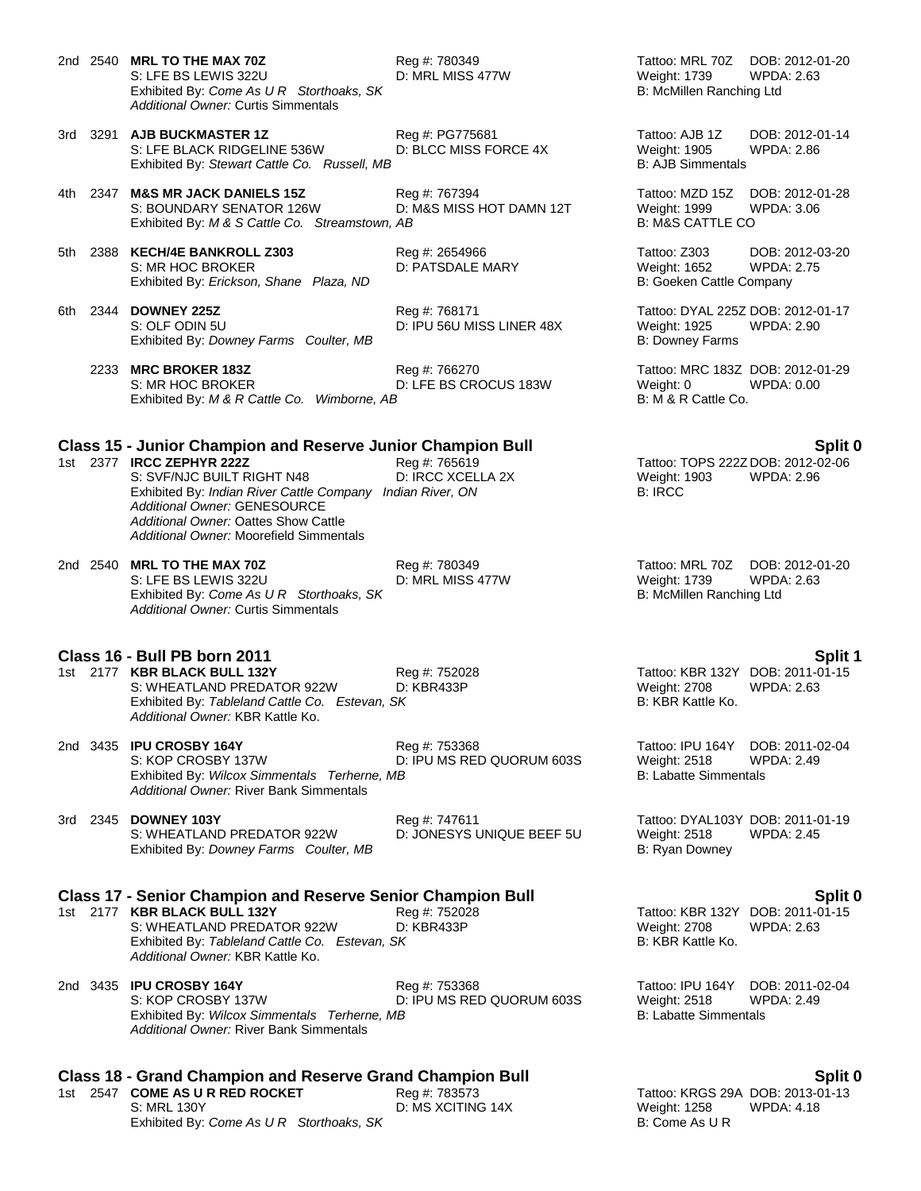2nd 2540 **MRL TO THE MAX 70Z** Reg #: 780349 Tattoo: MRL 70Z DOB: 2012-01-20 S: LFE BS LEWIS 322U D: MRL MISS 477W Weight: 1739 Exhibited By: *Come As U R Storthoaks, SK* B: McMillen Ranching Ltd *Additional Owner:* Curtis Simmentals

- 3rd 3291 **AJB BUCKMASTER 1Z** Reg #: PG775681 Tattoo: AJB 1Z DOB: 2012-01-14 S: LFE BLACK RIDGELINE 536W D: BLCC MISS FORCE 4X Weight: 1905 WPDA: 2.86<br>Exhibited By: Stewart Cattle Co. Russell, MB CCC MISS FORCE 4X B: AJB Simmentals Exhibited By: Stewart Cattle Co. Russell, MB
- 4th 2347 **M&S MR JACK DANIELS 15Z** Reg #: 767394 Tattoo: MZD 15Z DOB: 2012-01-28 S: BOUNDARY SENATOR 126W D: M&S MISS HOT DAMN 12T Weight: 1999 WPDA: 3.06 Exhibited By: *M & S Cattle Co. Streamstown, AB* B: M B: M&S CATTLE CO
- 5th 2388 **KECH/4E BANKROLL Z303** Reg #: 2654966 **Tattoo: Z303** DOB: 2012-03-20<br>S: MR HOC BROKER D: PATSDALE MARY Weight: 1652 WPDA: 2.75 Exhibited By: *Erickson, Shane Plaza, ND* B: Goeken Cattle Company

D: PATSDALE MARY

- 6th 2344 **DOWNEY 225Z** Reg #: 768171 Tattoo: DYAL 225Z DOB: 2012-01-17 Exhibited By: *Downey Farms Coulter, MB* B: Downey Farms Coulter, MB B: Downey Farms
	- 2233 **MRC BROKER 183Z** Reg #: 766270 Tattoo: MRC 183Z DOB: 2012-01-29 S: MR HOC BROKER D: LFE BS CROCUS 183W Weight: 0 WPDA: 0.00 Exhibited By: M & R Cattle Co. Wimborne, AB B: M & R Cattle Co. Exhibited By: M & R Cattle Co. Wimborne, AB

## **Class 15 - Junior Champion and Reserve Junior Champion Bull Split 0**

- S: SVF/NJC BUILT RIGHT N48 D: IRCC XCELLA 2X Weight: 1903 WPDA: 2.96<br>
Exhibited By: *Indian River Cattle Company Indian River*. ON B: IRCC B: IRCC Exhibited By: *Indian River Cattle Company Indian River, ON Additional Owner:* GENESOURCE *Additional Owner:* Oattes Show Cattle *Additional Owner:* Moorefield Simmentals
- 2nd 2540 **MRL TO THE MAX 70Z** Reg #: 780349 Tattoo: MRL 70Z DOB: 2012-01-20 S: LFE BS LEWIS 322U D: MRL MISS 477W Weight: 1739 WPD/<br>Exhibited By: *Come As U R Storthoaks, SK* B: McMillen Ranching Ltd Exhibited By: Come As U R Storthoaks, SK *Additional Owner:* Curtis Simmentals

- **Class 16 - Bull PB born 2011 Split 1** 1st 2177 **KBR BLACK BULL 132Y** S: WHEATLAND PREDATOR 922W D: KBR433P Weight: 2708 WPDA: 2.63<br>
Exhibited By: Tableland Cattle Co. Estevan, SK B: WEB: KBR Kattle Ko. Exhibited By: Tableland Cattle Co. Estevan, SK *Additional Owner:* KBR Kattle Ko.
- 2nd 3435 **IPU CROSBY 164Y** Reg #: 753368 Tattoo: IPU 164Y DOB: 2011-02-04 S: KOP CROSBY 137W D: IPU MS RED QUORUM 603S Weight: 2518 WPDA: 2.49 Exhibited By: *Wilcox Simmentals Terherne, MB* B: Labatte Simmentals *Additional Owner:* River Bank Simmentals

### 3rd 2345 **DOWNEY 103Y** Reg #: 747611 Tattoo: DYAL103Y DOB: 2011-01-19 S: WHEATLAND PREDATOR 922W D: JONESYS UNIQUE BEEF 5U Weight: 2518 WPDA: 2.45 Exhibited By: *Downey Farms Coulter, MB* B: Ryan Downey B: Ryan Downey

### **Class 17 - Senior Champion and Reserve Senior Champion Bull Split 0**

- 1st 2177 **KBR BLACK BULL 132Y** Reg #: 752028 Tattoo: KBR 132Y DOB: 2011-01-15 S: WHEATLAND PREDATOR 922W D: KBR433P Weight: 2708 WPDA: 2.63 Exhibited By: Tableland Cattle Co. Estevan, SK B: B: KBR Kattle Ko. *Additional Owner:* KBR Kattle Ko.
- 2nd 3435 **IPU CROSBY 164Y** Reg #: 753368 Tattoo: IPU 164Y DOB: 2011-02-04 D: IPU MS RED QUORUM 603S Weight: 2518 WF<br>
B: Labatte Simmentals Exhibited By: Wilcox Simmentals Terherne, MB *Additional Owner:* River Bank Simmentals

## **Class 18 - Grand Champion and Reserve Grand Champion Bull**<br>1st 2547 **COME AS U R RED ROCKET** Reg #: 783573 Tattoo: KRGS 29A DOB: 2013-01-13

1st 2547 **COME AS U R RED ROCKET** Reg #: 783573 Tattoo: KRGS 29A DOB: 2013-0<br>B: MRL 130Y S: MRL 130Y D: MS XCITING 14X Weight: 1258 WPDA: 4.18 S: MRL 130Y D: MS XCITING 14X Exhibited By: *Come As U R Storthoaks, SK* B: Come As U R

D: IPU 56U MISS LINER 48X Weight: 1925 WPDA: 2.90

1st 2377 **IRCC 2377 1st 2377 Tattoo: TOPS 2222 DOB: 2012-02-06**<br>1903 Tampo C. 236 Tattoo: TOPS 222Z DOB: 2012-02-06<br>2012 Weight: 1903 WPDA: 2.96